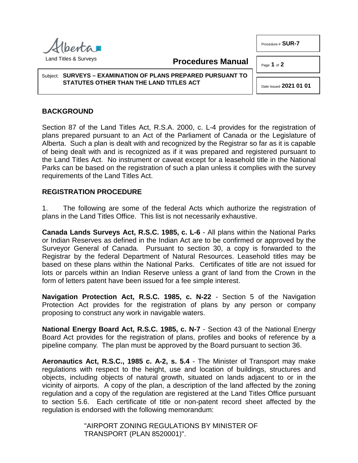$h$ entra  $\overline{\phantom{a}}$ Land Titles & Surveys

**Procedures Manual**

Subject: **SURVEYS – EXAMINATION OF PLANS PREPARED PURSUANT TO STATUTES OTHER THAN THE LAND TITLES ACT**

## **BACKGROUND**

Section 87 of the Land Titles Act, R.S.A. 2000, c. L-4 provides for the registration of plans prepared pursuant to an Act of the Parliament of Canada or the Legislature of Alberta. Such a plan is dealt with and recognized by the Registrar so far as it is capable of being dealt with and is recognized as if it was prepared and registered pursuant to the Land Titles Act. No instrument or caveat except for a leasehold title in the National Parks can be based on the registration of such a plan unless it complies with the survey requirements of the Land Titles Act.

## **REGISTRATION PROCEDURE**

1. The following are some of the federal Acts which authorize the registration of plans in the Land Titles Office. This list is not necessarily exhaustive.

**Canada Lands Surveys Act, R.S.C. 1985, c. L-6** - All plans within the National Parks or Indian Reserves as defined in the Indian Act are to be confirmed or approved by the Surveyor General of Canada. Pursuant to section 30, a copy is forwarded to the Registrar by the federal Department of Natural Resources. Leasehold titles may be based on these plans within the National Parks. Certificates of title are not issued for lots or parcels within an Indian Reserve unless a grant of land from the Crown in the form of letters patent have been issued for a fee simple interest.

**Navigation Protection Act, R.S.C. 1985, c. N-22** - Section 5 of the Navigation Protection Act provides for the registration of plans by any person or company proposing to construct any work in navigable waters.

**National Energy Board Act, R.S.C. 1985, c. N-7** - Section 43 of the National Energy Board Act provides for the registration of plans, profiles and books of reference by a pipeline company. The plan must be approved by the Board pursuant to section 36.

**Aeronautics Act, R.S.C., 1985 c. A-2, s. 5.4** - The Minister of Transport may make regulations with respect to the height, use and location of buildings, structures and objects, including objects of natural growth, situated on lands adjacent to or in the vicinity of airports. A copy of the plan, a description of the land affected by the zoning regulation and a copy of the regulation are registered at the Land Titles Office pursuant to section 5.6. Each certificate of title or non-patent record sheet affected by the regulation is endorsed with the following memorandum:

> "AIRPORT ZONING REGULATIONS BY MINISTER OF TRANSPORT (PLAN 8520001)".



Procedure # **SUR-7**

Page **1** of **2**

Date Issued **2021 01 01**